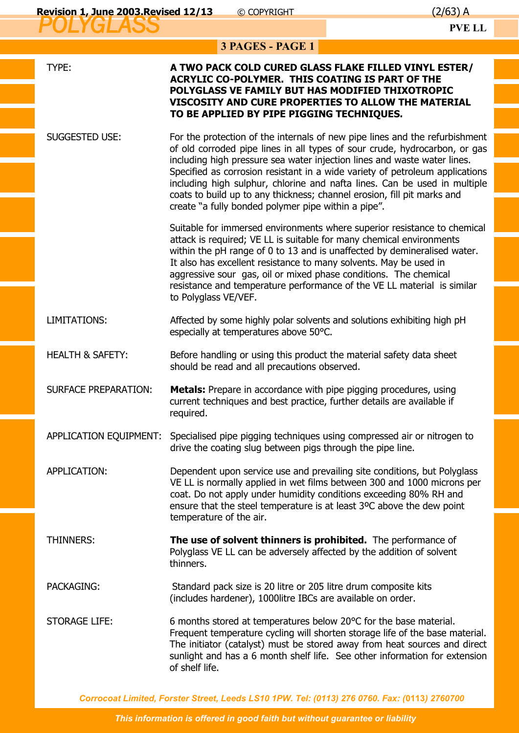| 3 PAGES - PAGE 1            |                                                                                                                                                                                                                                                                                                                                                                                                                                                                                                                                      |  |
|-----------------------------|--------------------------------------------------------------------------------------------------------------------------------------------------------------------------------------------------------------------------------------------------------------------------------------------------------------------------------------------------------------------------------------------------------------------------------------------------------------------------------------------------------------------------------------|--|
| TYPE:                       | A TWO PACK COLD CURED GLASS FLAKE FILLED VINYL ESTER/<br><b>ACRYLIC CO-POLYMER. THIS COATING IS PART OF THE</b><br>POLYGLASS VE FAMILY BUT HAS MODIFIED THIXOTROPIC<br>VISCOSITY AND CURE PROPERTIES TO ALLOW THE MATERIAL<br>TO BE APPLIED BY PIPE PIGGING TECHNIQUES.                                                                                                                                                                                                                                                              |  |
| <b>SUGGESTED USE:</b>       | For the protection of the internals of new pipe lines and the refurbishment<br>of old corroded pipe lines in all types of sour crude, hydrocarbon, or gas<br>including high pressure sea water injection lines and waste water lines.<br>Specified as corrosion resistant in a wide variety of petroleum applications<br>including high sulphur, chlorine and nafta lines. Can be used in multiple<br>coats to build up to any thickness; channel erosion, fill pit marks and<br>create "a fully bonded polymer pipe within a pipe". |  |
|                             | Suitable for immersed environments where superior resistance to chemical<br>attack is required; VE LL is suitable for many chemical environments<br>within the pH range of 0 to 13 and is unaffected by demineralised water.<br>It also has excellent resistance to many solvents. May be used in<br>aggressive sour gas, oil or mixed phase conditions. The chemical<br>resistance and temperature performance of the VE LL material is similar<br>to Polyglass VE/VEF.                                                             |  |
| LIMITATIONS:                | Affected by some highly polar solvents and solutions exhibiting high pH<br>especially at temperatures above 50°C.                                                                                                                                                                                                                                                                                                                                                                                                                    |  |
| <b>HEALTH &amp; SAFETY:</b> | Before handling or using this product the material safety data sheet<br>should be read and all precautions observed.                                                                                                                                                                                                                                                                                                                                                                                                                 |  |
| <b>SURFACE PREPARATION:</b> | <b>Metals:</b> Prepare in accordance with pipe pigging procedures, using<br>current techniques and best practice, further details are available if<br>required.                                                                                                                                                                                                                                                                                                                                                                      |  |
| APPLICATION EQUIPMENT:      | Specialised pipe pigging techniques using compressed air or nitrogen to<br>drive the coating slug between pigs through the pipe line.                                                                                                                                                                                                                                                                                                                                                                                                |  |
| APPLICATION:                | Dependent upon service use and prevailing site conditions, but Polyglass<br>VE LL is normally applied in wet films between 300 and 1000 microns per<br>coat. Do not apply under humidity conditions exceeding 80% RH and<br>ensure that the steel temperature is at least 3°C above the dew point<br>temperature of the air.                                                                                                                                                                                                         |  |
| THINNERS:                   | The use of solvent thinners is prohibited. The performance of<br>Polyglass VE LL can be adversely affected by the addition of solvent<br>thinners.                                                                                                                                                                                                                                                                                                                                                                                   |  |
| <b>PACKAGING:</b>           | Standard pack size is 20 litre or 205 litre drum composite kits<br>(includes hardener), 1000litre IBCs are available on order.                                                                                                                                                                                                                                                                                                                                                                                                       |  |
| <b>STORAGE LIFE:</b>        | 6 months stored at temperatures below 20°C for the base material.<br>Frequent temperature cycling will shorten storage life of the base material.<br>The initiator (catalyst) must be stored away from heat sources and direct<br>sunlight and has a 6 month shelf life. See other information for extension<br>of shelf life.                                                                                                                                                                                                       |  |

*Corrocoat Limited, Forster Street, Leeds LS10 1PW. Tel: (0113) 276 0760. Fax: (***0113***) 2760700*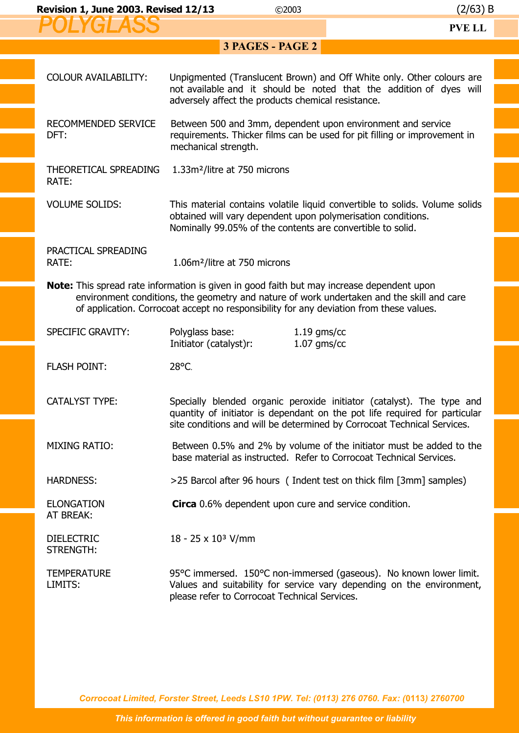| <b>Revision 1, June 2003. Revised 12/13</b> | C <sub>2003</sub> | (2/63) B |
|---------------------------------------------|-------------------|----------|
|                                             |                   | DVD I I  |

| ULI VII IVV                                                                                                                                                                                                                                                                              |                                                                                                                                                                  | 1 V L LL                                                                                                                                            |  |
|------------------------------------------------------------------------------------------------------------------------------------------------------------------------------------------------------------------------------------------------------------------------------------------|------------------------------------------------------------------------------------------------------------------------------------------------------------------|-----------------------------------------------------------------------------------------------------------------------------------------------------|--|
|                                                                                                                                                                                                                                                                                          | 3 PAGES - PAGE 2                                                                                                                                                 |                                                                                                                                                     |  |
| <b>COLOUR AVAILABILITY:</b>                                                                                                                                                                                                                                                              | adversely affect the products chemical resistance.                                                                                                               | Unpigmented (Translucent Brown) and Off White only. Other colours are<br>not available and it should be noted that the addition of dyes will        |  |
| RECOMMENDED SERVICE<br>DFT:                                                                                                                                                                                                                                                              | Between 500 and 3mm, dependent upon environment and service<br>requirements. Thicker films can be used for pit filling or improvement in<br>mechanical strength. |                                                                                                                                                     |  |
| THEORETICAL SPREADING<br>RATE:                                                                                                                                                                                                                                                           | 1.33m <sup>2</sup> /litre at 750 microns                                                                                                                         |                                                                                                                                                     |  |
| <b>VOLUME SOLIDS:</b>                                                                                                                                                                                                                                                                    | obtained will vary dependent upon polymerisation conditions.<br>Nominally 99.05% of the contents are convertible to solid.                                       | This material contains volatile liquid convertible to solids. Volume solids                                                                         |  |
| PRACTICAL SPREADING<br>RATE:                                                                                                                                                                                                                                                             | 1.06m <sup>2</sup> /litre at 750 microns                                                                                                                         |                                                                                                                                                     |  |
| <b>Note:</b> This spread rate information is given in good faith but may increase dependent upon<br>environment conditions, the geometry and nature of work undertaken and the skill and care<br>of application. Corrocoat accept no responsibility for any deviation from these values. |                                                                                                                                                                  |                                                                                                                                                     |  |
| SPECIFIC GRAVITY:                                                                                                                                                                                                                                                                        | Polyglass base:<br>$1.19$ gms/cc<br>$1.07$ gms/cc<br>Initiator (catalyst)r:                                                                                      |                                                                                                                                                     |  |
| <b>FLASH POINT:</b>                                                                                                                                                                                                                                                                      | 28°C.                                                                                                                                                            |                                                                                                                                                     |  |
| <b>CATALYST TYPE:</b>                                                                                                                                                                                                                                                                    | site conditions and will be determined by Corrocoat Technical Services.                                                                                          | Specially blended organic peroxide initiator (catalyst). The type and<br>quantity of initiator is dependant on the pot life required for particular |  |
| <b>MIXING RATIO:</b>                                                                                                                                                                                                                                                                     | base material as instructed. Refer to Corrocoat Technical Services.                                                                                              | Between 0.5% and 2% by volume of the initiator must be added to the                                                                                 |  |
| <b>HARDNESS:</b>                                                                                                                                                                                                                                                                         | >25 Barcol after 96 hours (Indent test on thick film [3mm] samples)                                                                                              |                                                                                                                                                     |  |
| <b>ELONGATION</b><br>AT BREAK:                                                                                                                                                                                                                                                           | <b>Circa</b> 0.6% dependent upon cure and service condition.                                                                                                     |                                                                                                                                                     |  |
| <b>DIELECTRIC</b><br>STRENGTH:                                                                                                                                                                                                                                                           | $18 - 25 \times 10^3$ V/mm                                                                                                                                       |                                                                                                                                                     |  |
| <b>TEMPERATURE</b><br>LIMITS:                                                                                                                                                                                                                                                            | please refer to Corrocoat Technical Services.                                                                                                                    | 95 °C immersed. 150 °C non-immersed (gaseous). No known lower limit.<br>Values and suitability for service vary depending on the environment,       |  |

*Corrocoat Limited, Forster Street, Leeds LS10 1PW. Tel: (0113) 276 0760. Fax: (***0113***) 2760700*